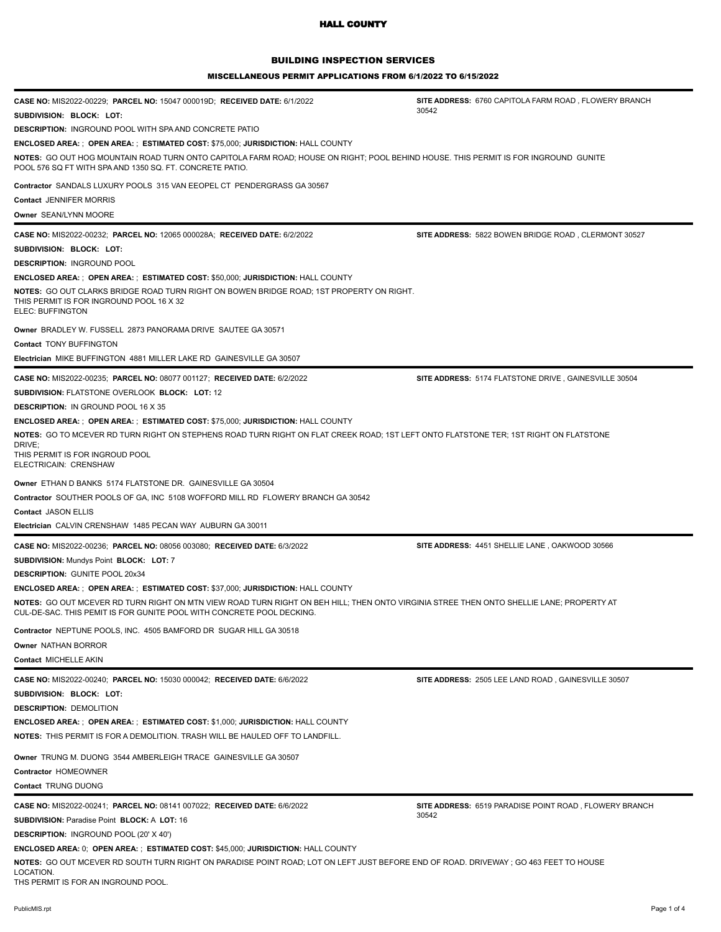# BUILDING INSPECTION SERVICES

MISCELLANEOUS PERMIT APPLICATIONS FROM 6/1/2022 TO 6/15/2022

| CASE NO: MIS2022-00229; PARCEL NO: 15047 000019D; RECEIVED DATE: 6/1/2022                                                                                                                                         | SITE ADDRESS: 6760 CAPITOLA FARM ROAD, FLOWERY BRANCH         |  |
|-------------------------------------------------------------------------------------------------------------------------------------------------------------------------------------------------------------------|---------------------------------------------------------------|--|
| SUBDIVISION: BLOCK: LOT:                                                                                                                                                                                          | 30542                                                         |  |
| <b>DESCRIPTION: INGROUND POOL WITH SPA AND CONCRETE PATIO</b>                                                                                                                                                     |                                                               |  |
| <b>ENCLOSED AREA: ; OPEN AREA: ; ESTIMATED COST: \$75,000; JURISDICTION: HALL COUNTY</b>                                                                                                                          |                                                               |  |
| NOTES: GO OUT HOG MOUNTAIN ROAD TURN ONTO CAPITOLA FARM ROAD; HOUSE ON RIGHT; POOL BEHIND HOUSE. THIS PERMIT IS FOR INGROUND GUNITE<br>POOL 576 SQ FT WITH SPA AND 1350 SQ. FT. CONCRETE PATIO.                   |                                                               |  |
| Contractor SANDALS LUXURY POOLS 315 VAN EEOPEL CT PENDERGRASS GA 30567                                                                                                                                            |                                                               |  |
| Contact JENNIFER MORRIS                                                                                                                                                                                           |                                                               |  |
| Owner SEAN/LYNN MOORE                                                                                                                                                                                             |                                                               |  |
| CASE NO: MIS2022-00232; PARCEL NO: 12065 000028A; RECEIVED DATE: 6/2/2022                                                                                                                                         | SITE ADDRESS: 5822 BOWEN BRIDGE ROAD, CLERMONT 30527          |  |
| SUBDIVISION: BLOCK: LOT:                                                                                                                                                                                          |                                                               |  |
| <b>DESCRIPTION: INGROUND POOL</b>                                                                                                                                                                                 |                                                               |  |
| <b>ENCLOSED AREA: ; OPEN AREA: ; ESTIMATED COST: \$50,000; JURISDICTION: HALL COUNTY</b>                                                                                                                          |                                                               |  |
| <b>NOTES: GO OUT CLARKS BRIDGE ROAD TURN RIGHT ON BOWEN BRIDGE ROAD; 1ST PROPERTY ON RIGHT.</b><br>THIS PERMIT IS FOR INGROUND POOL 16 X 32<br>ELEC: BUFFINGTON                                                   |                                                               |  |
| Owner BRADLEY W. FUSSELL 2873 PANORAMA DRIVE SAUTEE GA 30571                                                                                                                                                      |                                                               |  |
| <b>Contact TONY BUFFINGTON</b>                                                                                                                                                                                    |                                                               |  |
| Electrician MIKE BUFFINGTON 4881 MILLER LAKE RD GAINESVILLE GA 30507                                                                                                                                              |                                                               |  |
| CASE NO: MIS2022-00235; PARCEL NO: 08077 001127; RECEIVED DATE: 6/2/2022                                                                                                                                          | SITE ADDRESS: 5174 FLATSTONE DRIVE, GAINESVILLE 30504         |  |
| <b>SUBDIVISION: FLATSTONE OVERLOOK BLOCK: LOT: 12</b>                                                                                                                                                             |                                                               |  |
| <b>DESCRIPTION: IN GROUND POOL 16 X 35</b>                                                                                                                                                                        |                                                               |  |
| <b>ENCLOSED AREA: ; OPEN AREA: ; ESTIMATED COST: \$75,000; JURISDICTION: HALL COUNTY</b>                                                                                                                          |                                                               |  |
| NOTES: GO TO MCEVER RD TURN RIGHT ON STEPHENS ROAD TURN RIGHT ON FLAT CREEK ROAD; 1ST LEFT ONTO FLATSTONE TER; 1ST RIGHT ON FLATSTONE                                                                             |                                                               |  |
| DRIVE:<br>THIS PERMIT IS FOR INGROUD POOL<br>ELECTRICAIN: CRENSHAW                                                                                                                                                |                                                               |  |
| Owner ETHAN D BANKS 5174 FLATSTONE DR. GAINESVILLE GA 30504                                                                                                                                                       |                                                               |  |
| Contractor SOUTHER POOLS OF GA, INC 5108 WOFFORD MILL RD FLOWERY BRANCH GA 30542                                                                                                                                  |                                                               |  |
| Contact JASON ELLIS                                                                                                                                                                                               |                                                               |  |
| Electrician CALVIN CRENSHAW 1485 PECAN WAY AUBURN GA 30011                                                                                                                                                        |                                                               |  |
| CASE NO: MIS2022-00236; PARCEL NO: 08056 003080; RECEIVED DATE: 6/3/2022                                                                                                                                          | SITE ADDRESS: 4451 SHELLIE LANE, OAKWOOD 30566                |  |
| <b>SUBDIVISION: Mundys Point BLOCK: LOT: 7</b>                                                                                                                                                                    |                                                               |  |
| <b>DESCRIPTION: GUNITE POOL 20x34</b>                                                                                                                                                                             |                                                               |  |
| <b>ENCLOSED AREA: ; OPEN AREA: ; ESTIMATED COST: \$37,000; JURISDICTION: HALL COUNTY</b>                                                                                                                          |                                                               |  |
| NOTES: GO OUT MCEVER RD TURN RIGHT ON MTN VIEW ROAD TURN RIGHT ON BEH HILL; THEN ONTO VIRGINIA STREE THEN ONTO SHELLIE LANE; PROPERTY AT<br>CUL-DE-SAC. THIS PEMIT IS FOR GUNITE POOL WITH CONCRETE POOL DECKING. |                                                               |  |
| Contractor NEPTUNE POOLS, INC. 4505 BAMFORD DR SUGAR HILL GA 30518                                                                                                                                                |                                                               |  |
| Owner NATHAN BORROR                                                                                                                                                                                               |                                                               |  |
| Contact MICHELLE AKIN                                                                                                                                                                                             |                                                               |  |
| <b>CASE NO: MIS2022-00240; PARCEL NO: 15030 000042; RECEIVED DATE: 6/6/2022</b>                                                                                                                                   | SITE ADDRESS: 2505 LEE LAND ROAD, GAINESVILLE 30507           |  |
|                                                                                                                                                                                                                   |                                                               |  |
| SUBDIVISION: BLOCK: LOT:                                                                                                                                                                                          |                                                               |  |
| <b>DESCRIPTION: DEMOLITION</b>                                                                                                                                                                                    |                                                               |  |
| <b>ENCLOSED AREA: ; OPEN AREA: ; ESTIMATED COST: \$1,000; JURISDICTION: HALL COUNTY</b>                                                                                                                           |                                                               |  |
| <b>NOTES: THIS PERMIT IS FOR A DEMOLITION. TRASH WILL BE HAULED OFF TO LANDFILL.</b>                                                                                                                              |                                                               |  |
| Owner TRUNG M. DUONG 3544 AMBERLEIGH TRACE GAINESVILLE GA 30507                                                                                                                                                   |                                                               |  |
| Contractor HOMEOWNER                                                                                                                                                                                              |                                                               |  |
| Contact TRUNG DUONG                                                                                                                                                                                               |                                                               |  |
| CASE NO: MIS2022-00241; PARCEL NO: 08141 007022; RECEIVED DATE: 6/6/2022                                                                                                                                          | <b>SITE ADDRESS: 6519 PARADISE POINT ROAD, FLOWERY BRANCH</b> |  |
| <b>SUBDIVISION: Paradise Point BLOCK: A LOT: 16</b>                                                                                                                                                               | 30542                                                         |  |
| <b>DESCRIPTION: INGROUND POOL (20' X 40')</b>                                                                                                                                                                     |                                                               |  |
| <b>ENCLOSED AREA: 0; OPEN AREA: ; ESTIMATED COST: \$45,000; JURISDICTION: HALL COUNTY</b>                                                                                                                         |                                                               |  |
| NOTES: GO OUT MCEVER RD SOUTH TURN RIGHT ON PARADISE POINT ROAD; LOT ON LEFT JUST BEFORE END OF ROAD. DRIVEWAY; GO 463 FEET TO HOUSE<br>LOCATION.<br>THS PERMIT IS FOR AN INGROUND POOL.                          |                                                               |  |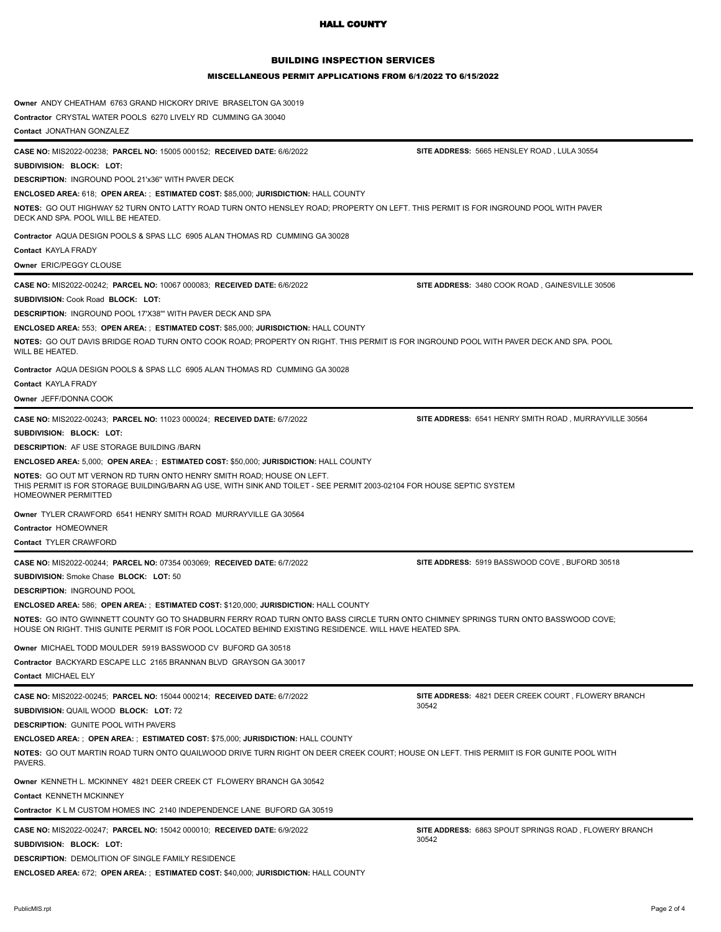# BUILDING INSPECTION SERVICES

#### MISCELLANEOUS PERMIT APPLICATIONS FROM 6/1/2022 TO 6/15/2022

| Owner ANDY CHEATHAM 6763 GRAND HICKORY DRIVE BRASELTON GA 30019                                                                                                                                                                             |                                                              |
|---------------------------------------------------------------------------------------------------------------------------------------------------------------------------------------------------------------------------------------------|--------------------------------------------------------------|
| Contractor CRYSTAL WATER POOLS 6270 LIVELY RD CUMMING GA 30040                                                                                                                                                                              |                                                              |
| Contact JONATHAN GONZALEZ                                                                                                                                                                                                                   |                                                              |
| CASE NO: MIS2022-00238; PARCEL NO: 15005 000152; RECEIVED DATE: 6/6/2022                                                                                                                                                                    | SITE ADDRESS: 5665 HENSLEY ROAD, LULA 30554                  |
| SUBDIVISION: BLOCK: LOT:                                                                                                                                                                                                                    |                                                              |
| <b>DESCRIPTION: INGROUND POOL 21'x36" WITH PAVER DECK</b>                                                                                                                                                                                   |                                                              |
| <b>ENCLOSED AREA: 618; OPEN AREA: ; ESTIMATED COST: \$85,000; JURISDICTION: HALL COUNTY</b>                                                                                                                                                 |                                                              |
| NOTES: GO OUT HIGHWAY 52 TURN ONTO LATTY ROAD TURN ONTO HENSLEY ROAD; PROPERTY ON LEFT. THIS PERMIT IS FOR INGROUND POOL WITH PAVER<br>DECK AND SPA. POOL WILL BE HEATED.                                                                   |                                                              |
| Contractor AQUA DESIGN POOLS & SPAS LLC 6905 ALAN THOMAS RD CUMMING GA 30028                                                                                                                                                                |                                                              |
| <b>Contact KAYLA FRADY</b>                                                                                                                                                                                                                  |                                                              |
| Owner ERIC/PEGGY CLOUSE                                                                                                                                                                                                                     |                                                              |
| CASE NO: MIS2022-00242; PARCEL NO: 10067 000083; RECEIVED DATE: 6/6/2022                                                                                                                                                                    | SITE ADDRESS: 3480 COOK ROAD, GAINESVILLE 30506              |
| SUBDIVISION: Cook Road BLOCK: LOT:                                                                                                                                                                                                          |                                                              |
|                                                                                                                                                                                                                                             |                                                              |
| <b>DESCRIPTION: INGROUND POOL 17'X38"' WITH PAVER DECK AND SPA</b>                                                                                                                                                                          |                                                              |
| <b>ENCLOSED AREA: 553; OPEN AREA: ; ESTIMATED COST: \$85,000; JURISDICTION: HALL COUNTY</b>                                                                                                                                                 |                                                              |
| NOTES: GO OUT DAVIS BRIDGE ROAD TURN ONTO COOK ROAD; PROPERTY ON RIGHT. THIS PERMIT IS FOR INGROUND POOL WITH PAVER DECK AND SPA. POOL<br>WILL BE HEATED.                                                                                   |                                                              |
| Contractor AQUA DESIGN POOLS & SPAS LLC 6905 ALAN THOMAS RD CUMMING GA 30028                                                                                                                                                                |                                                              |
| <b>Contact KAYLA FRADY</b>                                                                                                                                                                                                                  |                                                              |
| Owner JEFF/DONNA COOK                                                                                                                                                                                                                       |                                                              |
| CASE NO: MIS2022-00243; PARCEL NO: 11023 000024; RECEIVED DATE: 6/7/2022                                                                                                                                                                    | SITE ADDRESS: 6541 HENRY SMITH ROAD, MURRAYVILLE 30564       |
| SUBDIVISION: BLOCK: LOT:                                                                                                                                                                                                                    |                                                              |
| <b>DESCRIPTION: AF USE STORAGE BUILDING /BARN</b>                                                                                                                                                                                           |                                                              |
|                                                                                                                                                                                                                                             |                                                              |
| <b>ENCLOSED AREA: 5,000; OPEN AREA: ; ESTIMATED COST: \$50,000; JURISDICTION: HALL COUNTY</b>                                                                                                                                               |                                                              |
| <b>NOTES: GO OUT MT VERNON RD TURN ONTO HENRY SMITH ROAD; HOUSE ON LEFT.</b><br>THIS PERMIT IS FOR STORAGE BUILDING/BARN AG USE, WITH SINK AND TOILET - SEE PERMIT 2003-02104 FOR HOUSE SEPTIC SYSTEM<br><b>HOMEOWNER PERMITTED</b>         |                                                              |
| Owner TYLER CRAWFORD 6541 HENRY SMITH ROAD MURRAYVILLE GA 30564                                                                                                                                                                             |                                                              |
| Contractor HOMEOWNER                                                                                                                                                                                                                        |                                                              |
| Contact TYLER CRAWFORD                                                                                                                                                                                                                      |                                                              |
| CASE NO: MIS2022-00244; PARCEL NO: 07354 003069; RECEIVED DATE: 6/7/2022                                                                                                                                                                    | SITE ADDRESS: 5919 BASSWOOD COVE, BUFORD 30518               |
| <b>SUBDIVISION:</b> Smoke Chase <b>BLOCK: LOT:</b> 50                                                                                                                                                                                       |                                                              |
| <b>DESCRIPTION: INGROUND POOL</b>                                                                                                                                                                                                           |                                                              |
| <b>ENCLOSED AREA: 586; OPEN AREA: ; ESTIMATED COST: \$120,000; JURISDICTION: HALL COUNTY</b>                                                                                                                                                |                                                              |
| NOTES: GO INTO GWINNETT COUNTY GO TO SHADBURN FERRY ROAD TURN ONTO BASS CIRCLE TURN ONTO CHIMNEY SPRINGS TURN ONTO BASSWOOD COVE<br>HOUSE ON RIGHT. THIS GUNITE PERMIT IS FOR POOL LOCATED BEHIND EXISTING RESIDENCE. WILL HAVE HEATED SPA. |                                                              |
| Owner MICHAEL TODD MOULDER 5919 BASSWOOD CV BUFORD GA 30518                                                                                                                                                                                 |                                                              |
| Contractor BACKYARD ESCAPE LLC 2165 BRANNAN BLVD GRAYSON GA 30017                                                                                                                                                                           |                                                              |
| Contact MICHAEL ELY                                                                                                                                                                                                                         |                                                              |
| CASE NO: MIS2022-00245; PARCEL NO: 15044 000214; RECEIVED DATE: 6/7/2022                                                                                                                                                                    | SITE ADDRESS: 4821 DEER CREEK COURT, FLOWERY BRANCH          |
| SUBDIVISION: QUAIL WOOD BLOCK: LOT: 72                                                                                                                                                                                                      | 30542                                                        |
| <b>DESCRIPTION: GUNITE POOL WITH PAVERS</b>                                                                                                                                                                                                 |                                                              |
| <b>ENCLOSED AREA: ; OPEN AREA: ; ESTIMATED COST: \$75,000; JURISDICTION: HALL COUNTY</b>                                                                                                                                                    |                                                              |
| NOTES: GO OUT MARTIN ROAD TURN ONTO QUAILWOOD DRIVE TURN RIGHT ON DEER CREEK COURT; HOUSE ON LEFT. THIS PERMIIT IS FOR GUNITE POOL WITH                                                                                                     |                                                              |
| PAVERS.                                                                                                                                                                                                                                     |                                                              |
| Owner KENNETH L. MCKINNEY 4821 DEER CREEK CT FLOWERY BRANCH GA 30542                                                                                                                                                                        |                                                              |
| Contact KENNETH MCKINNEY                                                                                                                                                                                                                    |                                                              |
| Contractor K L M CUSTOM HOMES INC 2140 INDEPENDENCE LANE BUFORD GA 30519                                                                                                                                                                    |                                                              |
| CASE NO: MIS2022-00247; PARCEL NO: 15042 000010; RECEIVED DATE: 6/9/2022                                                                                                                                                                    | <b>SITE ADDRESS: 6863 SPOUT SPRINGS ROAD, FLOWERY BRANCH</b> |
| SUBDIVISION: BLOCK: LOT:                                                                                                                                                                                                                    | 30542                                                        |
| <b>DESCRIPTION: DEMOLITION OF SINGLE FAMILY RESIDENCE</b>                                                                                                                                                                                   |                                                              |
| ENCLOSED AREA: 672; OPEN AREA: ; ESTIMATED COST: \$40,000; JURISDICTION: HALL COUNTY                                                                                                                                                        |                                                              |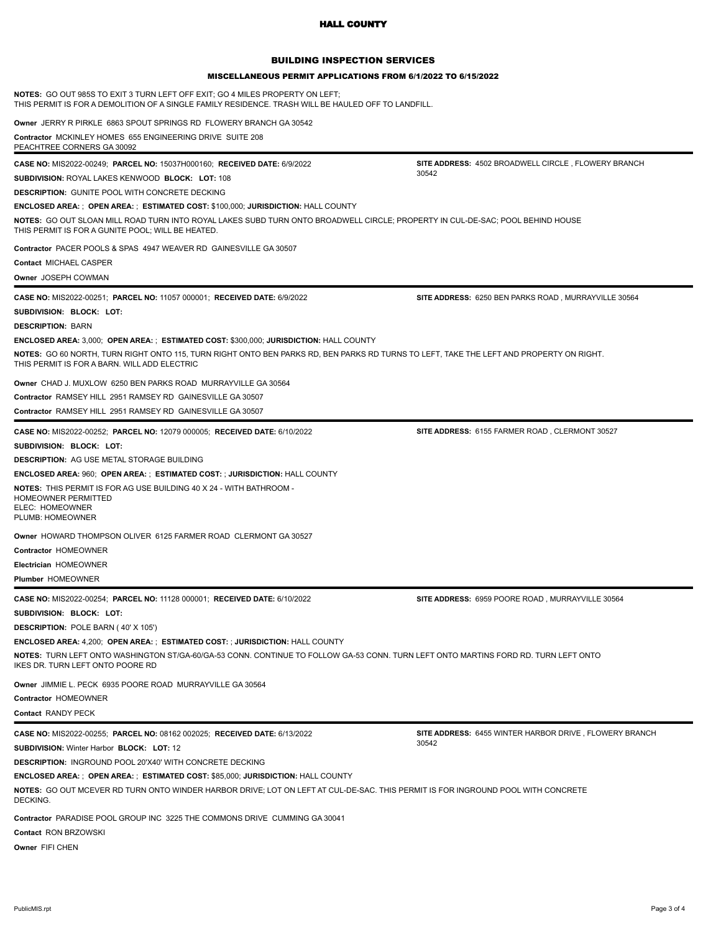# BUILDING INSPECTION SERVICES

#### MISCELLANEOUS PERMIT APPLICATIONS FROM 6/1/2022 TO 6/15/2022

| <b>NOTES:</b> GO OUT 985S TO EXIT 3 TURN LEFT OFF EXIT; GO 4 MILES PROPERTY ON LEFT;<br>THIS PERMIT IS FOR A DEMOLITION OF A SINGLE FAMILY RESIDENCE. TRASH WILL BE HAULED OFF TO LANDFILL.                                                                                                                                                                                                                                                                                                                                            |                                                                 |  |
|----------------------------------------------------------------------------------------------------------------------------------------------------------------------------------------------------------------------------------------------------------------------------------------------------------------------------------------------------------------------------------------------------------------------------------------------------------------------------------------------------------------------------------------|-----------------------------------------------------------------|--|
| Owner JERRY R PIRKLE 6863 SPOUT SPRINGS RD FLOWERY BRANCH GA 30542<br>Contractor MCKINLEY HOMES 655 ENGINEERING DRIVE SUITE 208<br>PEACHTREE CORNERS GA 30092                                                                                                                                                                                                                                                                                                                                                                          |                                                                 |  |
| CASE NO: MIS2022-00249; PARCEL NO: 15037H000160; RECEIVED DATE: 6/9/2022<br><b>SUBDIVISION: ROYAL LAKES KENWOOD BLOCK: LOT: 108</b><br><b>DESCRIPTION: GUNITE POOL WITH CONCRETE DECKING</b><br><b>ENCLOSED AREA: ; OPEN AREA: ; ESTIMATED COST: \$100,000; JURISDICTION: HALL COUNTY</b><br>NOTES: GO OUT SLOAN MILL ROAD TURN INTO ROYAL LAKES SUBD TURN ONTO BROADWELL CIRCLE; PROPERTY IN CUL-DE-SAC; POOL BEHIND HOUSE<br>THIS PERMIT IS FOR A GUNITE POOL; WILL BE HEATED.                                                       | SITE ADDRESS: 4502 BROADWELL CIRCLE, FLOWERY BRANCH<br>30542    |  |
| Contractor PACER POOLS & SPAS 4947 WEAVER RD GAINESVILLE GA 30507<br>Contact MICHAEL CASPER<br>Owner JOSEPH COWMAN                                                                                                                                                                                                                                                                                                                                                                                                                     |                                                                 |  |
| <b>CASE NO: MIS2022-00251; PARCEL NO: 11057 000001; RECEIVED DATE: 6/9/2022</b><br>SUBDIVISION: BLOCK: LOT:<br><b>DESCRIPTION: BARN</b>                                                                                                                                                                                                                                                                                                                                                                                                | SITE ADDRESS: 6250 BEN PARKS ROAD, MURRAYVILLE 30564            |  |
| ENCLOSED AREA: 3,000; OPEN AREA: ; ESTIMATED COST: \$300,000; JURISDICTION: HALL COUNTY<br>NOTES: GO 60 NORTH, TURN RIGHT ONTO 115, TURN RIGHT ONTO BEN PARKS RD, BEN PARKS RD TURNS TO LEFT, TAKE THE LEFT AND PROPERTY ON RIGHT.<br>THIS PERMIT IS FOR A BARN. WILL ADD ELECTRIC                                                                                                                                                                                                                                                     |                                                                 |  |
| Owner CHAD J. MUXLOW 6250 BEN PARKS ROAD MURRAYVILLE GA 30564<br>Contractor RAMSEY HILL 2951 RAMSEY RD GAINESVILLE GA 30507<br>Contractor RAMSEY HILL 2951 RAMSEY RD GAINESVILLE GA 30507                                                                                                                                                                                                                                                                                                                                              |                                                                 |  |
| <b>CASE NO: MIS2022-00252; PARCEL NO: 12079 000005; RECEIVED DATE: 6/10/2022</b><br>SUBDIVISION: BLOCK: LOT:<br><b>DESCRIPTION: AG USE METAL STORAGE BUILDING</b><br><b>ENCLOSED AREA: 960; OPEN AREA: ; ESTIMATED COST: ; JURISDICTION: HALL COUNTY</b><br>NOTES: THIS PERMIT IS FOR AG USE BUILDING 40 X 24 - WITH BATHROOM -<br>HOMEOWNER PERMITTED<br>ELEC: HOMEOWNER<br>PLUMB: HOMEOWNER<br>Owner HOWARD THOMPSON OLIVER 6125 FARMER ROAD CLERMONT GA 30527<br>Contractor HOMEOWNER<br>Electrician HOMEOWNER<br>Plumber HOMEOWNER | SITE ADDRESS: 6155 FARMER ROAD, CLERMONT 30527                  |  |
| <b>CASE NO: MIS2022-00254; PARCEL NO: 11128 000001; RECEIVED DATE: 6/10/2022</b><br>SUBDIVISION: BLOCK: LOT:<br><b>DESCRIPTION: POLE BARN (40' X 105')</b><br><b>ENCLOSED AREA: 4,200; OPEN AREA: ; ESTIMATED COST: ; JURISDICTION: HALL COUNTY</b><br>NOTES: TURN LEFT ONTO WASHINGTON ST/GA-60/GA-53 CONN. CONTINUE TO FOLLOW GA-53 CONN. TURN LEFT ONTO MARTINS FORD RD. TURN LEFT ONTO<br>IKES DR. TURN LEFT ONTO POORE RD                                                                                                         | SITE ADDRESS: 6959 POORE ROAD, MURRAYVILLE 30564                |  |
| Owner JIMMIE L. PECK 6935 POORE ROAD MURRAYVILLE GA 30564<br>Contractor HOMEOWNER<br>Contact RANDY PECK                                                                                                                                                                                                                                                                                                                                                                                                                                |                                                                 |  |
| CASE NO: MIS2022-00255; PARCEL NO: 08162 002025; RECEIVED DATE: 6/13/2022<br>SUBDIVISION: Winter Harbor BLOCK: LOT: 12<br><b>DESCRIPTION: INGROUND POOL 20'X40' WITH CONCRETE DECKING</b><br>ENCLOSED AREA: ; OPEN AREA: ; ESTIMATED COST: \$85,000; JURISDICTION: HALL COUNTY<br>NOTES: GO OUT MCEVER RD TURN ONTO WINDER HARBOR DRIVE; LOT ON LEFT AT CUL-DE-SAC. THIS PERMIT IS FOR INGROUND POOL WITH CONCRETE<br>DECKING.<br>Contractor PARADISE POOL GROUP INC 3225 THE COMMONS DRIVE CUMMING GA 30041<br>Contact RON BRZOWSKI   | SITE ADDRESS: 6455 WINTER HARBOR DRIVE, FLOWERY BRANCH<br>30542 |  |
| Owner FIFI CHEN                                                                                                                                                                                                                                                                                                                                                                                                                                                                                                                        |                                                                 |  |